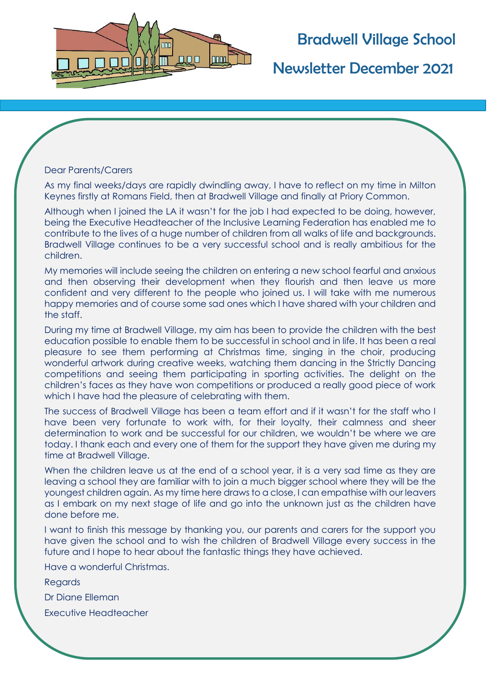

# Bradwell Village School

Newsletter December 2021

#### Dear Parents/Carers

As my final weeks/days are rapidly dwindling away, I have to reflect on my time in Milton Keynes firstly at Romans Field, then at Bradwell Village and finally at Priory Common.

Although when I joined the LA it wasn't for the job I had expected to be doing, however, being the Executive Headteacher of the Inclusive Learning Federation has enabled me to contribute to the lives of a huge number of children from all walks of life and backgrounds. Bradwell Village continues to be a very successful school and is really ambitious for the children.

My memories will include seeing the children on entering a new school fearful and anxious and then observing their development when they flourish and then leave us more confident and very different to the people who joined us. I will take with me numerous happy memories and of course some sad ones which I have shared with your children and the staff.

During my time at Bradwell Village, my aim has been to provide the children with the best education possible to enable them to be successful in school and in life. It has been a real pleasure to see them performing at Christmas time, singing in the choir, producing wonderful artwork during creative weeks, watching them dancing in the Strictly Dancing competitions and seeing them participating in sporting activities. The delight on the children's faces as they have won competitions or produced a really good piece of work which I have had the pleasure of celebrating with them.

The success of Bradwell Village has been a team effort and if it wasn't for the staff who I have been very fortunate to work with, for their loyalty, their calmness and sheer determination to work and be successful for our children, we wouldn't be where we are today. I thank each and every one of them for the support they have given me during my time at Bradwell Village.

When the children leave us at the end of a school year, it is a very sad time as they are leaving a school they are familiar with to join a much bigger school where they will be the youngest children again. As my time here draws to a close, I can empathise with our leavers as I embark on my next stage of life and go into the unknown just as the children have done before me.

I want to finish this message by thanking you, our parents and carers for the support you have given the school and to wish the children of Bradwell Village every success in the future and I hope to hear about the fantastic things they have achieved.

Have a wonderful Christmas.

**Regards** 

Dr Diane Elleman

Executive Headteacher